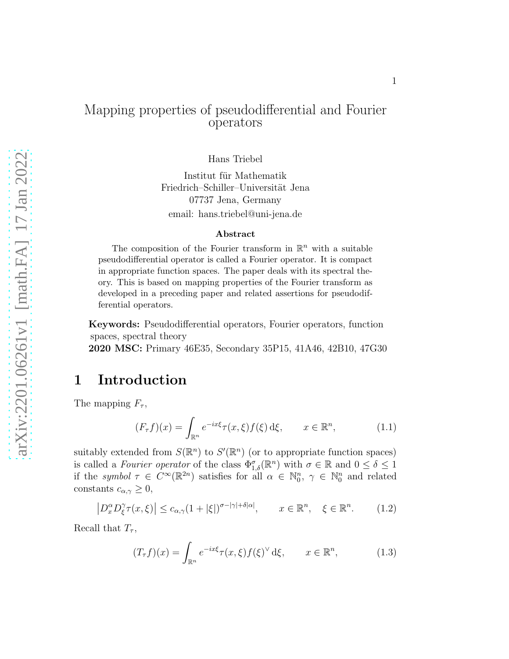## Mapping properties of pseudodifferential and Fourier operators

Hans Triebel

Institut für Mathematik Friedrich–Schiller–Universität Jena 07737 Jena, Germany email: hans.triebel@uni-jena.de

#### Abstract

The composition of the Fourier transform in  $\mathbb{R}^n$  with a suitable pseudodifferential operator is called a Fourier operator. It is compact in appropriate function spaces. The paper deals with its spectral theory. This is based on mapping properties of the Fourier transform as developed in a preceding paper and related assertions for pseudodifferential operators.

Keywords: Pseudodifferential operators, Fourier operators, function spaces, spectral theory

2020 MSC: Primary 46E35, Secondary 35P15, 41A46, 42B10, 47G30

# 1 Introduction

The mapping  $F_{\tau}$ ,

<span id="page-0-0"></span>
$$
(F_{\tau}f)(x) = \int_{\mathbb{R}^n} e^{-ix\xi} \tau(x,\xi) f(\xi) d\xi, \qquad x \in \mathbb{R}^n,
$$
 (1.1)

suitably extended from  $S(\mathbb{R}^n)$  to  $S'(\mathbb{R}^n)$  (or to appropriate function spaces) is called a *Fourier operator* of the class  $\Phi_{1,\delta}^{\sigma}(\mathbb{R}^n)$  with  $\sigma \in \mathbb{R}$  and  $0 \leq \delta \leq 1$ if the symbol  $\tau \in C^{\infty}(\mathbb{R}^{2n})$  satisfies for all  $\alpha \in \mathbb{N}_0^n$ ,  $\gamma \in \mathbb{N}_0^n$  and related constants  $c_{\alpha,\gamma} \geq 0$ ,

$$
\left| D_x^{\alpha} D_{\xi}^{\gamma} \tau(x,\xi) \right| \le c_{\alpha,\gamma} (1+|\xi|)^{\sigma-|\gamma|+\delta|\alpha|}, \qquad x \in \mathbb{R}^n, \quad \xi \in \mathbb{R}^n. \tag{1.2}
$$

Recall that  $T_{\tau}$ ,

<span id="page-0-1"></span>
$$
(T_{\tau}f)(x) = \int_{\mathbb{R}^n} e^{-ix\xi} \tau(x,\xi) f(\xi)^{\vee} d\xi, \qquad x \in \mathbb{R}^n, \tag{1.3}
$$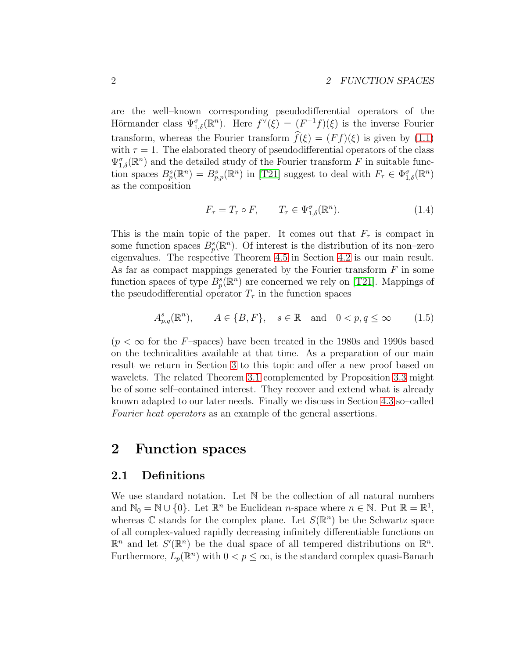are the well–known corresponding pseudodifferential operators of the Hörmander class  $\Psi_{1,\delta}^{\sigma}(\mathbb{R}^n)$ . Here  $f^{\vee}(\xi) = (F^{-1}f)(\xi)$  is the inverse Fourier transform, whereas the Fourier transform  $\hat{f}(\xi) = (F f)(\xi)$  is given by [\(1.1\)](#page-0-0) with  $\tau = 1$ . The elaborated theory of pseudodifferential operators of the class  $\Psi_{1,\delta}^{\sigma}(\mathbb{R}^n)$  and the detailed study of the Fourier transform F in suitable function spaces  $B_p^s(\mathbb{R}^n) = B_{p,p}^s(\mathbb{R}^n)$  in [\[T21\]](#page-23-0) suggest to deal with  $F_\tau \in \Phi_{1,\delta}^{\sigma}(\mathbb{R}^n)$ as the composition

<span id="page-1-1"></span>
$$
F_{\tau} = T_{\tau} \circ F, \qquad T_{\tau} \in \Psi_{1,\delta}^{\sigma}(\mathbb{R}^{n}). \tag{1.4}
$$

This is the main topic of the paper. It comes out that  $F_{\tau}$  is compact in some function spaces  $B_p^s(\mathbb{R}^n)$ . Of interest is the distribution of its non-zero eigenvalues. The respective Theorem [4.5](#page-17-0) in Section [4.2](#page-17-1) is our main result. As far as compact mappings generated by the Fourier transform  $F$  in some function spaces of type  $B_p^s(\mathbb{R}^n)$  are concerned we rely on [\[T21\]](#page-23-0). Mappings of the pseudodifferential operator  $T_{\tau}$  in the function spaces

<span id="page-1-0"></span>
$$
A_{p,q}^{s}(\mathbb{R}^{n}), \qquad A \in \{B, F\}, \quad s \in \mathbb{R} \quad \text{and} \quad 0 < p, q \le \infty \tag{1.5}
$$

 $(p < \infty$  for the F-spaces) have been treated in the 1980s and 1990s based on the technicalities available at that time. As a preparation of our main result we return in Section [3](#page-6-0) to this topic and offer a new proof based on wavelets. The related Theorem [3.1](#page-9-0) complemented by Proposition [3.3](#page-13-0) might be of some self–contained interest. They recover and extend what is already known adapted to our later needs. Finally we discuss in Section [4.3](#page-19-0) so–called Fourier heat operators as an example of the general assertions.

# 2 Function spaces

### 2.1 Definitions

We use standard notation. Let N be the collection of all natural numbers and  $\mathbb{N}_0 = \mathbb{N} \cup \{0\}$ . Let  $\mathbb{R}^n$  be Euclidean *n*-space where  $n \in \mathbb{N}$ . Put  $\mathbb{R} = \mathbb{R}^1$ , whereas  $\mathbb C$  stands for the complex plane. Let  $S(\mathbb{R}^n)$  be the Schwartz space of all complex-valued rapidly decreasing infinitely differentiable functions on  $\mathbb{R}^n$  and let  $S'(\mathbb{R}^n)$  be the dual space of all tempered distributions on  $\mathbb{R}^n$ . Furthermore,  $L_p(\mathbb{R}^n)$  with  $0 < p \leq \infty$ , is the standard complex quasi-Banach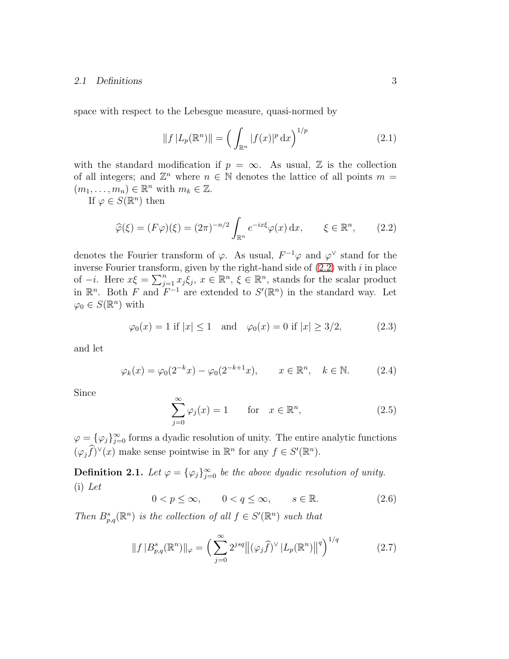#### 2.1 Definitions 3

space with respect to the Lebesgue measure, quasi-normed by

$$
||f|L_p(\mathbb{R}^n)|| = \left(\int_{\mathbb{R}^n} |f(x)|^p \,dx\right)^{1/p} \tag{2.1}
$$

with the standard modification if  $p = \infty$ . As usual, Z is the collection of all integers; and  $\mathbb{Z}^n$  where  $n \in \mathbb{N}$  denotes the lattice of all points  $m =$  $(m_1, \ldots, m_n) \in \mathbb{R}^n$  with  $m_k \in \mathbb{Z}$ .

If  $\varphi \in S(\mathbb{R}^n)$  then

<span id="page-2-0"></span>
$$
\widehat{\varphi}(\xi) = (F\varphi)(\xi) = (2\pi)^{-n/2} \int_{\mathbb{R}^n} e^{-ix\xi} \varphi(x) dx, \qquad \xi \in \mathbb{R}^n, \qquad (2.2)
$$

denotes the Fourier transform of  $\varphi$ . As usual,  $F^{-1}\varphi$  and  $\varphi^{\vee}$  stand for the inverse Fourier transform, given by the right-hand side of  $(2.2)$  with i in place of  $-i$ . Here  $x\xi = \sum_{j=1}^n x_j \xi_j$ ,  $x \in \mathbb{R}^n$ ,  $\xi \in \mathbb{R}^n$ , stands for the scalar product in  $\mathbb{R}^n$ . Both F and  $F^{-1}$  are extended to  $S'(\mathbb{R}^n)$  in the standard way. Let  $\varphi_0 \in S(\mathbb{R}^n)$  with

$$
\varphi_0(x) = 1
$$
 if  $|x| \le 1$  and  $\varphi_0(x) = 0$  if  $|x| \ge 3/2$ , (2.3)

and let

$$
\varphi_k(x) = \varphi_0(2^{-k}x) - \varphi_0(2^{-k+1}x), \qquad x \in \mathbb{R}^n, \quad k \in \mathbb{N}.
$$
 (2.4)

Since

$$
\sum_{j=0}^{\infty} \varphi_j(x) = 1 \quad \text{for} \quad x \in \mathbb{R}^n,
$$
 (2.5)

 $\varphi = {\varphi_j}_{j=0}^{\infty}$  forms a dyadic resolution of unity. The entire analytic functions  $(\varphi_j \widehat{f})^{\vee}(x)$  make sense pointwise in  $\mathbb{R}^n$  for any  $f \in S'(\mathbb{R}^n)$ .

<span id="page-2-2"></span>**Definition 2.1.** Let  $\varphi = {\varphi_j}_{j=0}^{\infty}$  be the above dyadic resolution of unity. (i) Let

$$
0 < p \le \infty, \qquad 0 < q \le \infty, \qquad s \in \mathbb{R}.\tag{2.6}
$$

Then  $B_{p,q}^s(\mathbb{R}^n)$  is the collection of all  $f \in S'(\mathbb{R}^n)$  such that

<span id="page-2-1"></span>
$$
||f|B_{p,q}^{s}(\mathbb{R}^{n})||_{\varphi} = \left(\sum_{j=0}^{\infty} 2^{jsq} ||(\varphi_{j}\widehat{f})^{\vee}|L_{p}(\mathbb{R}^{n})||^{q}\right)^{1/q}
$$
(2.7)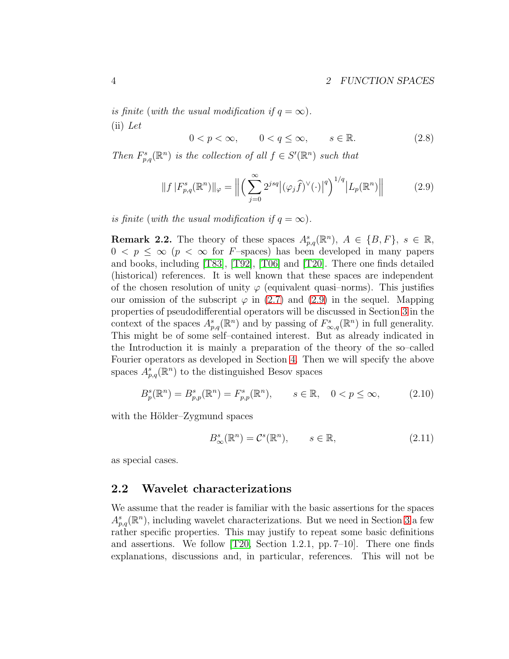is finite (with the usual modification if  $q = \infty$ ).  $(ii)$  Let

 $0 < p < \infty$ ,  $0 < q < \infty$ ,  $s \in \mathbb{R}$ . (2.8)

Then  $F_{p,q}^s(\mathbb{R}^n)$  is the collection of all  $f \in S'(\mathbb{R}^n)$  such that

<span id="page-3-0"></span>
$$
||f|F_{p,q}^s(\mathbb{R}^n)||_{\varphi} = \left\| \left( \sum_{j=0}^{\infty} 2^{jsq} \left| (\varphi_j \widehat{f})^{\vee}(\cdot) \right|^q \right)^{1/q} |L_p(\mathbb{R}^n)| \right\| \tag{2.9}
$$

is finite (with the usual modification if  $q = \infty$ ).

**Remark 2.2.** The theory of these spaces  $A_{p,q}^s(\mathbb{R}^n)$ ,  $A \in \{B, F\}$ ,  $s \in \mathbb{R}$ ,  $0 \leq p \leq \infty$  ( $p < \infty$  for F-spaces) has been developed in many papers and books, including [\[T83\]](#page-22-0), [\[T92\]](#page-22-1), [\[T06\]](#page-23-1) and [\[T20\]](#page-23-2). There one finds detailed (historical) references. It is well known that these spaces are independent of the chosen resolution of unity  $\varphi$  (equivalent quasi-norms). This justifies our omission of the subscript  $\varphi$  in [\(2.7\)](#page-2-1) and [\(2.9\)](#page-3-0) in the sequel. Mapping properties of pseudodifferential operators will be discussed in Section [3](#page-6-0) in the context of the spaces  $A_{p,q}^s(\mathbb{R}^n)$  and by passing of  $F_{\infty,q}^s(\mathbb{R}^n)$  in full generality. This might be of some self–contained interest. But as already indicated in the Introduction it is mainly a preparation of the theory of the so–called Fourier operators as developed in Section [4.](#page-15-0) Then we will specify the above spaces  $A_{p,q}^s(\mathbb{R}^n)$  to the distinguished Besov spaces

<span id="page-3-2"></span>
$$
B_p^s(\mathbb{R}^n) = B_{p,p}^s(\mathbb{R}^n) = F_{p,p}^s(\mathbb{R}^n), \qquad s \in \mathbb{R}, \quad 0 < p \le \infty,\tag{2.10}
$$

with the Hölder–Zygmund spaces

<span id="page-3-3"></span>
$$
B_{\infty}^{s}(\mathbb{R}^{n}) = \mathcal{C}^{s}(\mathbb{R}^{n}), \qquad s \in \mathbb{R}, \tag{2.11}
$$

as special cases.

### <span id="page-3-1"></span>2.2 Wavelet characterizations

We assume that the reader is familiar with the basic assertions for the spaces  $A_{p,q}^s(\mathbb{R}^n)$ , including wavelet characterizations. But we need in Section [3](#page-6-0) a few rather specific properties. This may justify to repeat some basic definitions and assertions. We follow [\[T20,](#page-23-2) Section 1.2.1, pp. 7–10]. There one finds explanations, discussions and, in particular, references. This will not be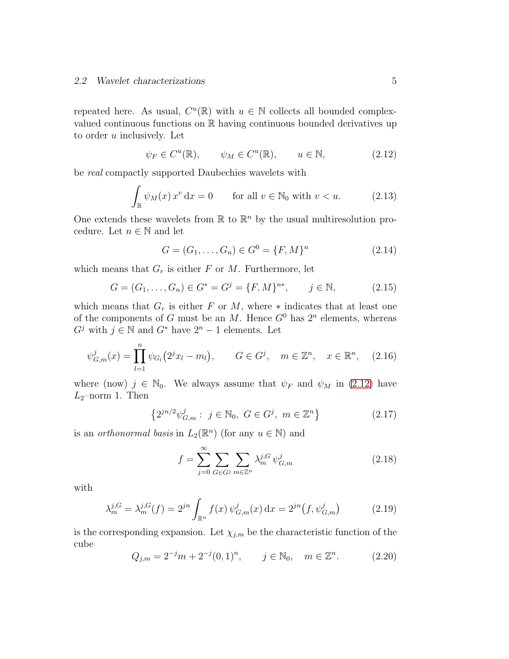#### 2.2 Wavelet characterizations 5

repeated here. As usual,  $C^u(\mathbb{R})$  with  $u \in \mathbb{N}$  collects all bounded complexvalued continuous functions on R having continuous bounded derivatives up to order  $u$  inclusively. Let

<span id="page-4-0"></span>
$$
\psi_F \in C^u(\mathbb{R}), \qquad \psi_M \in C^u(\mathbb{R}), \qquad u \in \mathbb{N}, \tag{2.12}
$$

be real compactly supported Daubechies wavelets with

<span id="page-4-3"></span>
$$
\int_{\mathbb{R}} \psi_M(x) x^v dx = 0 \quad \text{for all } v \in \mathbb{N}_0 \text{ with } v < u. \tag{2.13}
$$

One extends these wavelets from  $\mathbb R$  to  $\mathbb R^n$  by the usual multiresolution procedure. Let  $n \in \mathbb{N}$  and let

$$
G = (G_1, \dots, G_n) \in G^0 = \{F, M\}^n \tag{2.14}
$$

which means that  $G_r$  is either F or M. Furthermore, let

$$
G = (G_1, \dots, G_n) \in G^* = G^j = \{F, M\}^{n*}, \qquad j \in \mathbb{N}, \tag{2.15}
$$

which means that  $G_r$  is either F or M, where  $*$  indicates that at least one of the components of G must be an M. Hence  $G^0$  has  $2^n$  elements, whereas  $G^j$  with  $j \in \mathbb{N}$  and  $G^*$  have  $2^n - 1$  elements. Let

<span id="page-4-2"></span>
$$
\psi_{G,m}^j(x) = \prod_{l=1}^n \psi_{G_l}(2^j x_l - m_l), \qquad G \in G^j, \quad m \in \mathbb{Z}^n, \quad x \in \mathbb{R}^n, \quad (2.16)
$$

where (now)  $j \in \mathbb{N}_0$ . We always assume that  $\psi_F$  and  $\psi_M$  in [\(2.12\)](#page-4-0) have  $L_2$ -norm 1. Then

$$
\left\{2^{jn/2}\psi_{G,m}^j : j \in \mathbb{N}_0, G \in G^j, m \in \mathbb{Z}^n\right\}
$$
 (2.17)

is an *orthonormal basis* in  $L_2(\mathbb{R}^n)$  (for any  $u \in \mathbb{N}$ ) and

$$
f = \sum_{j=0}^{\infty} \sum_{G \in G^j} \sum_{m \in \mathbb{Z}^n} \lambda_m^{j,G} \psi_{G,m}^j \tag{2.18}
$$

with

$$
\lambda_m^{j,G} = \lambda_m^{j,G}(f) = 2^{jn} \int_{\mathbb{R}^n} f(x) \,\psi_{G,m}^j(x) \,\mathrm{d}x = 2^{jn} \big(f, \psi_{G,m}^j\big) \tag{2.19}
$$

is the corresponding expansion. Let  $\chi_{j,m}$  be the characteristic function of the cube

<span id="page-4-1"></span>
$$
Q_{j,m} = 2^{-j}m + 2^{-j}(0,1)^n, \qquad j \in \mathbb{N}_0, \quad m \in \mathbb{Z}^n. \tag{2.20}
$$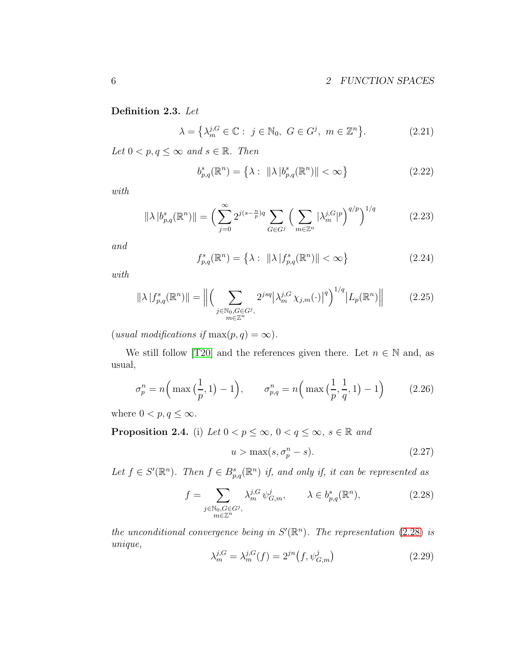### <span id="page-5-3"></span>Definition 2.3. Let

$$
\lambda = \left\{ \lambda_m^{j,G} \in \mathbb{C} : j \in \mathbb{N}_0, G \in G^j, m \in \mathbb{Z}^n \right\}.
$$
 (2.21)

Let  $0 < p, q \leq \infty$  and  $s \in \mathbb{R}$ . Then

$$
b_{p,q}^{s}(\mathbb{R}^{n}) = \left\{ \lambda : \ \|\lambda\|_{p,q}^{s}(\mathbb{R}^{n})\| < \infty \right\} \tag{2.22}
$$

with

$$
\|\lambda\|_{p,q}^{s}(\mathbb{R}^{n})\| = \left(\sum_{j=0}^{\infty} 2^{j(s-\frac{n}{p})q} \sum_{G \in G^{j}} \left(\sum_{m \in \mathbb{Z}^{n}} |\lambda_{m}^{j,G}|^{p}\right)^{q/p}\right)^{1/q}
$$
(2.23)

and

$$
f_{p,q}^{s}(\mathbb{R}^{n}) = \left\{ \lambda : \ \|\lambda\| f_{p,q}^{s}(\mathbb{R}^{n}) \| < \infty \right\}
$$
 (2.24)

with

$$
\|\lambda \|f_{p,q}^s(\mathbb{R}^n)\| = \Big\| \Big( \sum_{\substack{j \in \mathbb{N}_0, G \in G^j, \\ m \in \mathbb{Z}^n}} 2^{jsq} |\lambda_m^{j,G} \chi_{j,m}(\cdot)|^q \Big)^{1/q} |L_p(\mathbb{R}^n)\Big\| \tag{2.25}
$$

(usual modifications if  $\max(p, q) = \infty$ ).

We still follow [\[T20\]](#page-23-2) and the references given there. Let  $n \in \mathbb{N}$  and, as usual,

<span id="page-5-2"></span>
$$
\sigma_p^n = n \Big( \max\Big(\frac{1}{p}, 1\Big) - 1 \Big), \qquad \sigma_{p,q}^n = n \Big( \max\Big(\frac{1}{p}, \frac{1}{q}, 1\Big) - 1 \Big) \tag{2.26}
$$

where  $0 < p, q \leq \infty$ .

<span id="page-5-4"></span>**Proposition 2.4.** (i) Let  $0 < p \le \infty$ ,  $0 < q \le \infty$ ,  $s \in \mathbb{R}$  and

$$
u > \max(s, \sigma_p^n - s). \tag{2.27}
$$

Let  $f \in S'(\mathbb{R}^n)$ . Then  $f \in B_{p,q}^s(\mathbb{R}^n)$  if, and only if, it can be represented as

<span id="page-5-0"></span>
$$
f = \sum_{\substack{j \in \mathbb{N}_0, G \in G^j, \\ m \in \mathbb{Z}^n}} \lambda_m^{j, G} \psi_{G, m}^j, \qquad \lambda \in b_{p, q}^s(\mathbb{R}^n), \tag{2.28}
$$

the unconditional convergence being in  $S'(\mathbb{R}^n)$ . The representation [\(2.28\)](#page-5-0) is unique,

<span id="page-5-1"></span>
$$
\lambda_m^{j,G} = \lambda_m^{j,G}(f) = 2^{jn}(f, \psi_{G,m}^j)
$$
\n(2.29)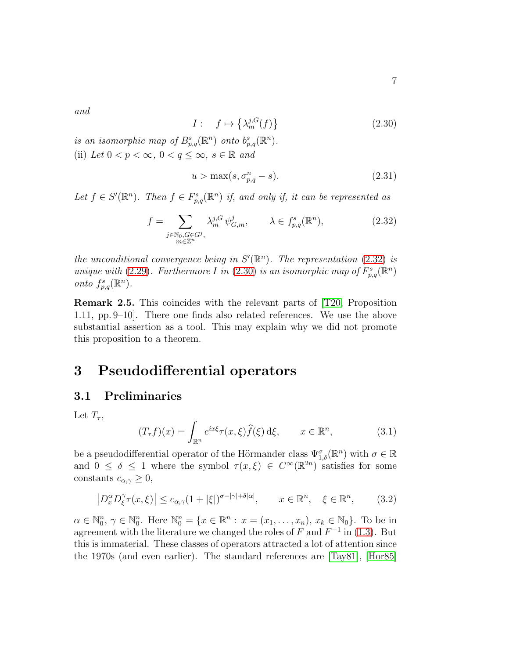and

<span id="page-6-2"></span>
$$
I: \quad f \mapsto \left\{ \lambda_m^{j,G}(f) \right\} \tag{2.30}
$$

is an isomorphic map of  $B_{p,q}^s(\mathbb{R}^n)$  onto  $b_{p,q}^s(\mathbb{R}^n)$ . (ii) Let  $0 < p < \infty$ ,  $0 < q \leq \infty$ ,  $s \in \mathbb{R}$  and

$$
u > \max(s, \sigma_{p,q}^n - s). \tag{2.31}
$$

Let  $f \in S'(\mathbb{R}^n)$ . Then  $f \in F^s_{p,q}(\mathbb{R}^n)$  if, and only if, it can be represented as

<span id="page-6-1"></span>
$$
f = \sum_{\substack{j \in \mathbb{N}_0, G \in G^j, \\ m \in \mathbb{Z}^n}} \lambda_m^{j, G} \psi_{G, m}^j, \qquad \lambda \in f_{p, q}^s(\mathbb{R}^n), \tag{2.32}
$$

the unconditional convergence being in  $S'(\mathbb{R}^n)$ . The representation [\(2.32\)](#page-6-1) is unique with [\(2.29\)](#page-5-1). Furthermore I in [\(2.30\)](#page-6-2) is an isomorphic map of  $F_{p,q}^s(\mathbb{R}^n)$ onto  $f_{p,q}^s(\mathbb{R}^n)$ .

Remark 2.5. This coincides with the relevant parts of [\[T20,](#page-23-2) Proposition 1.11, pp. 9–10]. There one finds also related references. We use the above substantial assertion as a tool. This may explain why we did not promote this proposition to a theorem.

# <span id="page-6-0"></span>3 Pseudodifferential operators

## 3.1 Preliminaries

Let  $T_{\tau}$ ,

<span id="page-6-4"></span>
$$
(T_{\tau}f)(x) = \int_{\mathbb{R}^n} e^{ix\xi} \tau(x,\xi) \widehat{f}(\xi) d\xi, \qquad x \in \mathbb{R}^n,
$$
 (3.1)

be a pseudodifferential operator of the Hörmander class  $\Psi_{1,\delta}^{\sigma}(\mathbb{R}^n)$  with  $\sigma \in \mathbb{R}$ and  $0 \leq \delta \leq 1$  where the symbol  $\tau(x,\xi) \in C^{\infty}(\mathbb{R}^{2n})$  satisfies for some constants  $c_{\alpha,\gamma} \geq 0$ ,

<span id="page-6-3"></span>
$$
\left| D_x^{\alpha} D_{\xi}^{\gamma} \tau(x,\xi) \right| \le c_{\alpha,\gamma} (1+|\xi|)^{\sigma-|\gamma|+\delta|\alpha|}, \qquad x \in \mathbb{R}^n, \quad \xi \in \mathbb{R}^n, \tag{3.2}
$$

 $\alpha \in \mathbb{N}_0^n$ ,  $\gamma \in \mathbb{N}_0^n$ . Here  $\mathbb{N}_0^n = \{x \in \mathbb{R}^n : x = (x_1, \dots, x_n), x_k \in \mathbb{N}_0\}$ . To be in agreement with the literature we changed the roles of  $F$  and  $F^{-1}$  in [\(1.3\)](#page-0-1). But this is immaterial. These classes of operators attracted a lot of attention since the 1970s (and even earlier). The standard references are [\[Tay81\]](#page-22-2), [\[Hor85\]](#page-21-0)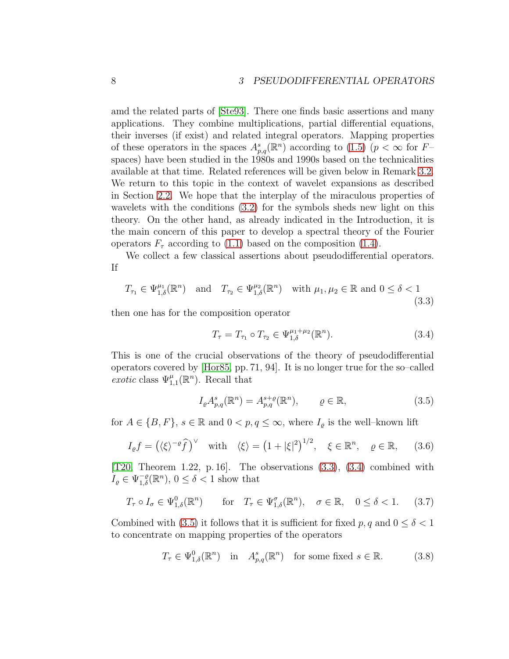amd the related parts of [\[Ste93\]](#page-22-3). There one finds basic assertions and many applications. They combine multiplications, partial differential equations, their inverses (if exist) and related integral operators. Mapping properties of these operators in the spaces  $A_{p,q}^s(\mathbb{R}^n)$  according to [\(1.5\)](#page-1-0) ( $p < \infty$  for  $F$ spaces) have been studied in the 1980s and 1990s based on the technicalities available at that time. Related references will be given below in Remark [3.2.](#page-12-0) We return to this topic in the context of wavelet expansions as described in Section [2.2.](#page-3-1) We hope that the interplay of the miraculous properties of wavelets with the conditions [\(3.2\)](#page-6-3) for the symbols sheds new light on this theory. On the other hand, as already indicated in the Introduction, it is the main concern of this paper to develop a spectral theory of the Fourier operators  $F_{\tau}$  according to [\(1.1\)](#page-0-0) based on the composition [\(1.4\)](#page-1-1).

We collect a few classical assertions about pseudodifferential operators. If

<span id="page-7-0"></span>
$$
T_{\tau_1} \in \Psi_{1,\delta}^{\mu_1}(\mathbb{R}^n) \quad \text{and} \quad T_{\tau_2} \in \Psi_{1,\delta}^{\mu_2}(\mathbb{R}^n) \quad \text{with } \mu_1, \mu_2 \in \mathbb{R} \text{ and } 0 \le \delta < 1 \tag{3.3}
$$

then one has for the composition operator

<span id="page-7-1"></span>
$$
T_{\tau} = T_{\tau_1} \circ T_{\tau_2} \in \Psi_{1,\delta}^{\mu_1 + \mu_2}(\mathbb{R}^n). \tag{3.4}
$$

This is one of the crucial observations of the theory of pseudodifferential operators covered by [\[Hor85,](#page-21-0) pp. 71, 94]. It is no longer true for the so–called exotic class  $\Psi_{1,1}^{\mu}(\mathbb{R}^n)$ . Recall that

<span id="page-7-2"></span>
$$
I_{\varrho}A_{p,q}^{s}(\mathbb{R}^{n}) = A_{p,q}^{s+\varrho}(\mathbb{R}^{n}), \qquad \varrho \in \mathbb{R}, \tag{3.5}
$$

for  $A \in \{B, F\}$ ,  $s \in \mathbb{R}$  and  $0 < p, q \leq \infty$ , where  $I_{\varrho}$  is the well-known lift

<span id="page-7-3"></span>
$$
I_{\varrho}f = \left(\langle \xi \rangle^{-\varrho} \hat{f}\right)^{\vee} \quad \text{with} \quad \langle \xi \rangle = \left(1 + |\xi|^2\right)^{1/2}, \quad \xi \in \mathbb{R}^n, \quad \varrho \in \mathbb{R}, \qquad (3.6)
$$

[\[T20,](#page-23-2) Theorem 1.22, p. 16]. The observations [\(3.3\)](#page-7-0), [\(3.4\)](#page-7-1) combined with  $I_{\varrho} \in \Psi_{1,\delta}^{-\varrho}(\mathbb{R}^n), 0 \leq \delta < 1$  show that

$$
T_{\tau} \circ I_{\sigma} \in \Psi_{1,\delta}^{0}(\mathbb{R}^{n}) \quad \text{for} \quad T_{\tau} \in \Psi_{1,\delta}^{\sigma}(\mathbb{R}^{n}), \quad \sigma \in \mathbb{R}, \quad 0 \le \delta < 1. \tag{3.7}
$$

Combined with [\(3.5\)](#page-7-2) it follows that it is sufficient for fixed p, q and  $0 \le \delta < 1$ to concentrate on mapping properties of the operators

$$
T_{\tau} \in \Psi_{1,\delta}^{0}(\mathbb{R}^{n}) \quad \text{in} \quad A_{p,q}^{s}(\mathbb{R}^{n}) \quad \text{for some fixed } s \in \mathbb{R}.\tag{3.8}
$$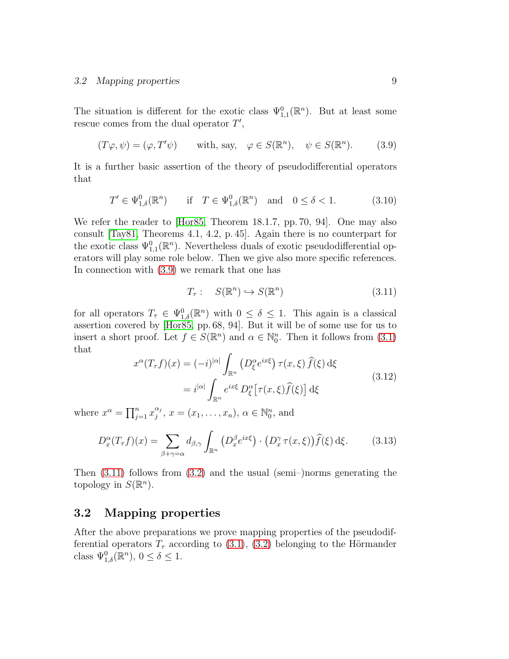The situation is different for the exotic class  $\Psi_{1,1}^0(\mathbb{R}^n)$ . But at least some rescue comes from the dual operator  $T'$ ,

<span id="page-8-0"></span>
$$
(T\varphi, \psi) = (\varphi, T'\psi) \quad \text{with, say,} \quad \varphi \in S(\mathbb{R}^n), \quad \psi \in S(\mathbb{R}^n). \tag{3.9}
$$

It is a further basic assertion of the theory of pseudodifferential operators that

<span id="page-8-4"></span>
$$
T' \in \Psi_{1,\delta}^0(\mathbb{R}^n) \quad \text{if} \quad T \in \Psi_{1,\delta}^0(\mathbb{R}^n) \quad \text{and} \quad 0 \le \delta < 1. \tag{3.10}
$$

We refer the reader to Hor85, Theorem 18.1.7, pp. 70, 94. One may also consult [\[Tay81,](#page-22-2) Theorems 4.1, 4.2, p. 45]. Again there is no counterpart for the exotic class  $\Psi_{1,1}^0(\mathbb{R}^n)$ . Nevertheless duals of exotic pseudodifferential operators will play some role below. Then we give also more specific references. In connection with [\(3.9\)](#page-8-0) we remark that one has

<span id="page-8-1"></span>
$$
T_{\tau}: S(\mathbb{R}^n) \hookrightarrow S(\mathbb{R}^n) \tag{3.11}
$$

for all operators  $T_{\tau} \in \Psi_{1,\delta}^{0}(\mathbb{R}^{n})$  with  $0 \leq \delta \leq 1$ . This again is a classical assertion covered by [\[Hor85,](#page-21-0) pp. 68, 94]. But it will be of some use for us to insert a short proof. Let  $f \in S(\mathbb{R}^n)$  and  $\alpha \in \mathbb{N}_0^n$ . Then it follows from [\(3.1\)](#page-6-4) that

<span id="page-8-2"></span>
$$
x^{\alpha}(T_{\tau}f)(x) = (-i)^{|\alpha|} \int_{\mathbb{R}^n} \left( D_{\xi}^{\alpha} e^{ix\xi} \right) \tau(x,\xi) \hat{f}(\xi) d\xi
$$
  

$$
= i^{|\alpha|} \int_{\mathbb{R}^n} e^{ix\xi} D_{\xi}^{\alpha} \left[ \tau(x,\xi) \hat{f}(\xi) \right] d\xi
$$
(3.12)

where  $x^{\alpha} = \prod_{j=1}^{n} x_j^{\alpha_j}$  $j^{\alpha_j}, x = (x_1, \ldots, x_n), \alpha \in \mathbb{N}_0^n$ , and

<span id="page-8-3"></span>
$$
D_x^{\alpha}(T_{\tau}f)(x) = \sum_{\beta+\gamma=\alpha} d_{\beta,\gamma} \int_{\mathbb{R}^n} \left( D_x^{\beta} e^{ix\xi} \right) \cdot \left( D_x^{\gamma} \tau(x,\xi) \right) \widehat{f}(\xi) \,d\xi. \tag{3.13}
$$

Then [\(3.11\)](#page-8-1) follows from [\(3.2\)](#page-6-3) and the usual (semi–)norms generating the topology in  $S(\mathbb{R}^n)$ .

## 3.2 Mapping properties

After the above preparations we prove mapping properties of the pseudodifferential operators  $T<sub>\tau</sub>$  according to [\(3.1\)](#page-6-4), [\(3.2\)](#page-6-3) belonging to the Hörmander class  $\Psi_{1,\delta}^{0}(\mathbb{R}^{n}), 0 \leq \delta \leq 1$ .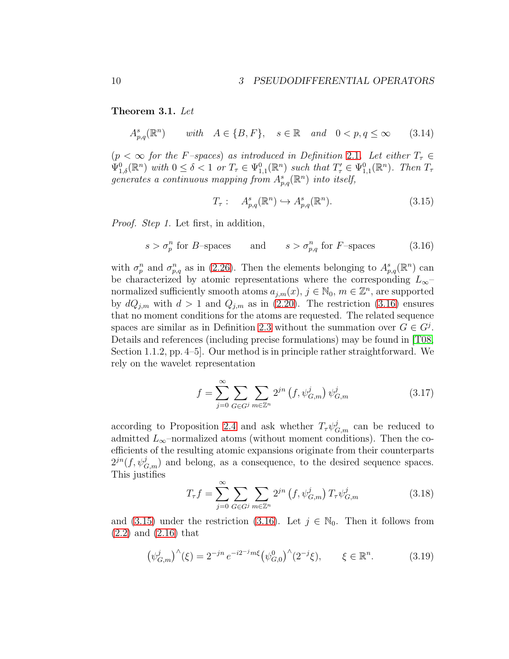<span id="page-9-0"></span>Theorem 3.1. Let

<span id="page-9-6"></span> $A_{p,q}^s(\mathbb{R}^n)$ with  $A \in \{B, F\}$ ,  $s \in \mathbb{R}$  and  $0 < p, q \le \infty$  (3.14)

 $(p < \infty$  for the F-spaces) as introduced in Definition [2.1](#page-2-2). Let either  $T_{\tau} \in$  $\Psi_{1,\delta}^{0}(\mathbb{R}^{n})$  with  $0 \leq \delta < 1$  or  $T_{\tau} \in \Psi_{1,1}^{0}(\mathbb{R}^{n})$  such that  $T'_{\tau} \in \Psi_{1,1}^{0}(\mathbb{R}^{n})$ . Then  $T_{\tau}$ generates a continuous mapping from  $A_{p,q}^s(\mathbb{R}^n)$  into itself,

<span id="page-9-2"></span>
$$
T_{\tau}: A_{p,q}^s(\mathbb{R}^n) \hookrightarrow A_{p,q}^s(\mathbb{R}^n). \tag{3.15}
$$

Proof. Step 1. Let first, in addition,

<span id="page-9-1"></span>
$$
s > \sigma_p^n \text{ for } B\text{-spaces} \qquad \text{and} \qquad s > \sigma_{p,q}^n \text{ for } F\text{-spaces} \tag{3.16}
$$

with  $\sigma_p^n$  and  $\sigma_{p,q}^n$  as in [\(2.26\)](#page-5-2). Then the elements belonging to  $A_{p,q}^s(\mathbb{R}^n)$  can be characterized by atomic representations where the corresponding  $L_{\infty}$ – normalized sufficiently smooth atoms  $a_{j,m}(x)$ ,  $j \in \mathbb{N}_0$ ,  $m \in \mathbb{Z}^n$ , are supported by  $dQ_{j,m}$  with  $d > 1$  and  $Q_{j,m}$  as in [\(2.20\)](#page-4-1). The restriction [\(3.16\)](#page-9-1) ensures that no moment conditions for the atoms are requested. The related sequence spaces are similar as in Definition [2.3](#page-5-3) without the summation over  $G \in G^j$ . Details and references (including precise formulations) may be found in [\[T08,](#page-23-3) Section 1.1.2, pp. 4–5]. Our method is in principle rather straightforward. We rely on the wavelet representation

<span id="page-9-5"></span>
$$
f = \sum_{j=0}^{\infty} \sum_{G \in G^j} \sum_{m \in \mathbb{Z}^n} 2^{jn} \left( f, \psi_{G,m}^j \right) \psi_{G,m}^j \tag{3.17}
$$

according to Proposition [2.4](#page-5-4) and ask whether  $T_{\tau}\psi^j_{G,m}$  can be reduced to admitted  $L_{\infty}$ –normalized atoms (without moment conditions). Then the coefficients of the resulting atomic expansions originate from their counterparts  $2^{jn}(f, \psi_{G,m}^{j})$  and belong, as a consequence, to the desired sequence spaces. This justifies

<span id="page-9-4"></span>
$$
T_{\tau}f = \sum_{j=0}^{\infty} \sum_{G \in G^j} \sum_{m \in \mathbb{Z}^n} 2^{jn} \left( f, \psi_{G,m}^j \right) T_{\tau} \psi_{G,m}^j \tag{3.18}
$$

and [\(3.15\)](#page-9-2) under the restriction [\(3.16\)](#page-9-1). Let  $j \in \mathbb{N}_0$ . Then it follows from [\(2.2\)](#page-2-0) and [\(2.16\)](#page-4-2) that

<span id="page-9-3"></span>
$$
\left(\psi_{G,m}^{j}\right)^{\wedge}(\xi) = 2^{-jn} e^{-i2^{-j}m\xi} \left(\psi_{G,0}^{0}\right)^{\wedge} \left(2^{-j}\xi\right), \qquad \xi \in \mathbb{R}^{n}.
$$
 (3.19)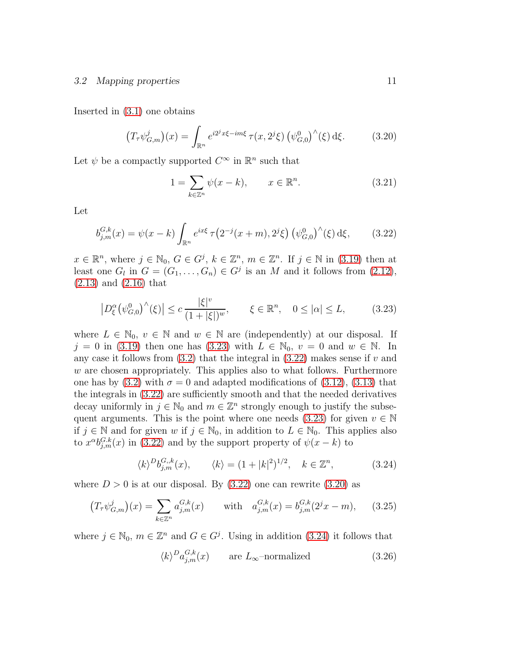#### 3.2 Mapping properties 11

Inserted in [\(3.1\)](#page-6-4) one obtains

<span id="page-10-2"></span>
$$
(T_{\tau}\psi_{G,m}^{j})(x) = \int_{\mathbb{R}^{n}} e^{i2^{j}x\xi - im\xi} \tau(x, 2^{j}\xi) \left(\psi_{G,0}^{0}\right)^{\wedge}(\xi) d\xi.
$$
 (3.20)

Let  $\psi$  be a compactly supported  $C^{\infty}$  in  $\mathbb{R}^n$  such that

$$
1 = \sum_{k \in \mathbb{Z}^n} \psi(x - k), \qquad x \in \mathbb{R}^n. \tag{3.21}
$$

Let

<span id="page-10-1"></span>
$$
b_{j,m}^{G,k}(x) = \psi(x-k) \int_{\mathbb{R}^n} e^{ix\xi} \tau(2^{-j}(x+m), 2^j \xi) \left(\psi_{G,0}^0\right)^\wedge(\xi) d\xi, \tag{3.22}
$$

 $x \in \mathbb{R}^n$ , where  $j \in \mathbb{N}_0$ ,  $G \in G^j$ ,  $k \in \mathbb{Z}^n$ ,  $m \in \mathbb{Z}^n$ . If  $j \in \mathbb{N}$  in [\(3.19\)](#page-9-3) then at least one  $G_l$  in  $G = (G_1, \ldots, G_n) \in G^j$  is an M and it follows from  $(2.12)$ , [\(2.13\)](#page-4-3) and [\(2.16\)](#page-4-2) that

<span id="page-10-0"></span>
$$
\left| D_{\xi}^{\alpha} \left( \psi_{G,0}^{0} \right)^{\wedge} (\xi) \right| \leq c \frac{|\xi|^{v}}{(1+|\xi|)^{w}}, \qquad \xi \in \mathbb{R}^{n}, \quad 0 \leq |\alpha| \leq L, \tag{3.23}
$$

where  $L \in \mathbb{N}_0$ ,  $v \in \mathbb{N}$  and  $w \in \mathbb{N}$  are (independently) at our disposal. If  $j = 0$  in [\(3.19\)](#page-9-3) then one has [\(3.23\)](#page-10-0) with  $L \in \mathbb{N}_0$ ,  $v = 0$  and  $w \in \mathbb{N}$ . In any case it follows from  $(3.2)$  that the integral in  $(3.22)$  makes sense if v and w are chosen appropriately. This applies also to what follows. Furthermore one has by  $(3.2)$  with  $\sigma = 0$  and adapted modifications of  $(3.12)$ ,  $(3.13)$  that the integrals in [\(3.22\)](#page-10-1) are sufficiently smooth and that the needed derivatives decay uniformly in  $j \in \mathbb{N}_0$  and  $m \in \mathbb{Z}^n$  strongly enough to justify the subse-quent arguments. This is the point where one needs [\(3.23\)](#page-10-0) for given  $v \in \mathbb{N}$ if  $j \in \mathbb{N}$  and for given w if  $j \in \mathbb{N}_0$ , in addition to  $L \in \mathbb{N}_0$ . This applies also to  $x^{\alpha}b_{j,m}^{G,k}(x)$  in [\(3.22\)](#page-10-1) and by the support property of  $\psi(x-k)$  to

<span id="page-10-3"></span>
$$
\langle k \rangle^D b_{j,m}^{G,k}(x), \qquad \langle k \rangle = (1+|k|^2)^{1/2}, \quad k \in \mathbb{Z}^n,
$$
 (3.24)

where  $D > 0$  is at our disposal. By  $(3.22)$  one can rewrite  $(3.20)$  as

<span id="page-10-5"></span>
$$
(T_{\tau}\psi_{G,m}^{j})(x) = \sum_{k \in \mathbb{Z}^{n}} a_{j,m}^{G,k}(x) \quad \text{with} \quad a_{j,m}^{G,k}(x) = b_{j,m}^{G,k}(2^{j}x - m), \quad (3.25)
$$

where  $j \in \mathbb{N}_0$ ,  $m \in \mathbb{Z}^n$  and  $G \in G^j$ . Using in addition [\(3.24\)](#page-10-3) it follows that

<span id="page-10-4"></span>
$$
\langle k \rangle^D a_{j,m}^{G,k}(x) \qquad \text{are } L_{\infty}\text{-normalized} \tag{3.26}
$$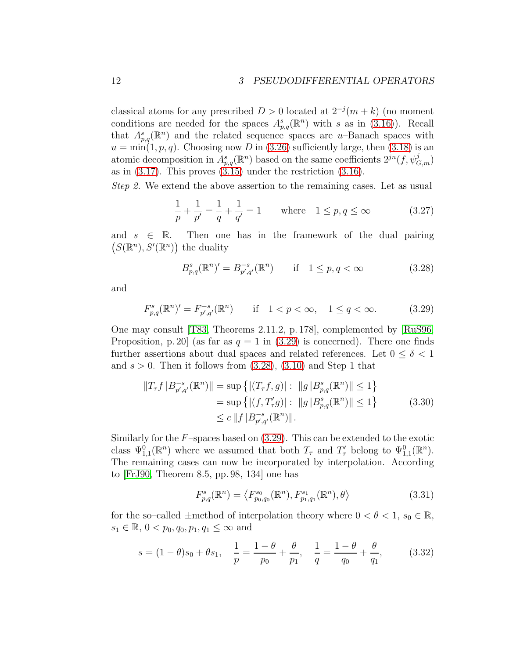classical atoms for any prescribed  $D > 0$  located at  $2^{-j}(m+k)$  (no moment conditions are needed for the spaces  $A_{p,q}^s(\mathbb{R}^n)$  with s as in [\(3.16\)](#page-9-1)). Recall that  $A_{p,q}^s(\mathbb{R}^n)$  and the related sequence spaces are u–Banach spaces with  $u = min(1, p, q)$ . Choosing now D in [\(3.26\)](#page-10-4) sufficiently large, then [\(3.18\)](#page-9-4) is an atomic decomposition in  $A_{p,q}^s(\mathbb{R}^n)$  based on the same coefficients  $2^{jn}(f, \psi_{G,m}^j)$ as in  $(3.17)$ . This proves  $(3.15)$  under the restriction  $(3.16)$ .

Step 2. We extend the above assertion to the remaining cases. Let as usual

$$
\frac{1}{p} + \frac{1}{p'} = \frac{1}{q} + \frac{1}{q'} = 1 \quad \text{where} \quad 1 \le p, q \le \infty \tag{3.27}
$$

and  $s \in \mathbb{R}$ . Then one has in the framework of the dual pairing  $(S(\mathbb{R}^n), S'(\mathbb{R}^n))$  the duality

<span id="page-11-1"></span>
$$
B_{p,q}^{s}(\mathbb{R}^{n})' = B_{p',q'}^{-s}(\mathbb{R}^{n}) \quad \text{if} \quad 1 \le p, q < \infty \tag{3.28}
$$

and

<span id="page-11-0"></span>
$$
F_{p,q}^{s}(\mathbb{R}^{n})' = F_{p',q'}^{-s}(\mathbb{R}^{n}) \quad \text{if} \quad 1 < p < \infty, \quad 1 \le q < \infty. \tag{3.29}
$$

One may consult [\[T83,](#page-22-0) Theorems 2.11.2, p. 178], complemented by [\[RuS96,](#page-22-4) Proposition, p. 20 (as far as  $q = 1$  in [\(3.29\)](#page-11-0) is concerned). There one finds further assertions about dual spaces and related references. Let  $0 \leq \delta < 1$ and  $s > 0$ . Then it follows from  $(3.28)$ ,  $(3.10)$  and Step 1 that

$$
||T_{\tau}f | B_{p',q'}^{-s}(\mathbb{R}^n) || = \sup \{ |(T_{\tau}f, g)| : ||g| B_{p,q}^{s}(\mathbb{R}^n) || \le 1 \}
$$
  
=  $\sup \{ |(f, T'_{\tau}g)| : ||g| B_{p,q}^{s}(\mathbb{R}^n) || \le 1 \}$  (3.30)  
 $\le c ||f| B_{p',q'}^{-s}(\mathbb{R}^n) ||.$ 

Similarly for the  $F$ -spaces based on  $(3.29)$ . This can be extended to the exotic class  $\Psi_{1,1}^0(\mathbb{R}^n)$  where we assumed that both  $T_\tau$  and  $T'_\tau$  belong to  $\Psi_{1,1}^0(\mathbb{R}^n)$ . The remaining cases can now be incorporated by interpolation. According to [\[FrJ90,](#page-21-1) Theorem 8.5, pp. 98, 134] one has

<span id="page-11-2"></span>
$$
F_{p,q}^{s}(\mathbb{R}^{n}) = \langle F_{p_{0},q_{0}}^{s_{0}}(\mathbb{R}^{n}), F_{p_{1},q_{1}}^{s_{1}}(\mathbb{R}^{n}), \theta \rangle \tag{3.31}
$$

for the so–called  $\pm$ method of interpolation theory where  $0 < \theta < 1$ ,  $s_0 \in \mathbb{R}$ ,  $s_1 \in \mathbb{R}, 0 < p_0, q_0, p_1, q_1 \leq \infty$  and

<span id="page-11-3"></span>
$$
s = (1 - \theta)s_0 + \theta s_1, \quad \frac{1}{p} = \frac{1 - \theta}{p_0} + \frac{\theta}{p_1}, \quad \frac{1}{q} = \frac{1 - \theta}{q_0} + \frac{\theta}{q_1}, \tag{3.32}
$$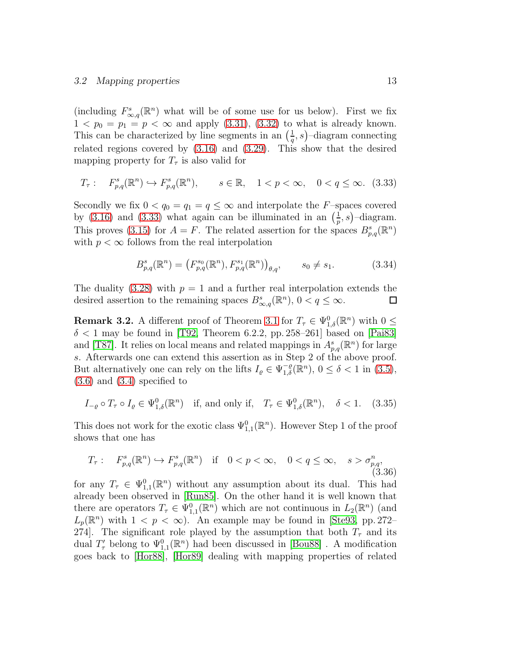#### 3.2 Mapping properties 13

(including  $F_{\infty,q}^s(\mathbb{R}^n)$  what will be of some use for us below). First we fix  $1 < p_0 = p_1 = p < \infty$  and apply  $(3.31)$ ,  $(3.32)$  to what is already known. This can be characterized by line segments in an  $\left(\frac{1}{a}\right)$  $(\frac{1}{q}, s)$ -diagram connecting related regions covered by [\(3.16\)](#page-9-1) and [\(3.29\)](#page-11-0). This show that the desired mapping property for  $T_{\tau}$  is also valid for

<span id="page-12-1"></span>
$$
T_{\tau}: \quad F_{p,q}^{s}(\mathbb{R}^{n}) \hookrightarrow F_{p,q}^{s}(\mathbb{R}^{n}), \qquad s \in \mathbb{R}, \quad 1 < p < \infty, \quad 0 < q \le \infty. \tag{3.33}
$$

Secondly we fix  $0 < q_0 = q_1 = q \leq \infty$  and interpolate the F-spaces covered by [\(3.16\)](#page-9-1) and [\(3.33\)](#page-12-1) what again can be illuminated in an  $\left(\frac{1}{n}\right)$  $\frac{1}{p}, s$ )-diagram. This proves [\(3.15\)](#page-9-2) for  $A = F$ . The related assertion for the spaces  $B_{p,q}^s(\mathbb{R}^n)$ with  $p < \infty$  follows from the real interpolation

$$
B_{p,q}^{s}(\mathbb{R}^{n}) = (F_{p,q}^{s_{0}}(\mathbb{R}^{n}), F_{p,q}^{s_{1}}(\mathbb{R}^{n}))_{\theta,q}, \qquad s_{0} \neq s_{1}.
$$
 (3.34)

The duality [\(3.28\)](#page-11-1) with  $p = 1$  and a further real interpolation extends the desired assertion to the remaining spaces  $B^s_{\infty,q}(\mathbb{R}^n)$ ,  $0 < q \leq \infty$ .  $\Box$ 

<span id="page-12-0"></span>**Remark 3.2.** A different proof of Theorem [3.1](#page-9-0) for  $T_{\tau} \in \Psi_{1,\delta}^{0}(\mathbb{R}^{n})$  with  $0 \leq$  $\delta$  < 1 may be found in [\[T92,](#page-22-1) Theorem 6.2.2, pp. 258–261] based on [\[Pai83\]](#page-22-5) and [\[T87\]](#page-22-6). It relies on local means and related mappings in  $A_{p,q}^s(\mathbb{R}^n)$  for large s. Afterwards one can extend this assertion as in Step 2 of the above proof. But alternatively one can rely on the lifts  $I_{\varrho} \in \Psi_{1,\delta}^{-\varrho}(\mathbb{R}^n)$ ,  $0 \leq \delta < 1$  in [\(3.5\)](#page-7-2),  $(3.6)$  and  $(3.4)$  specified to

<span id="page-12-3"></span>
$$
I_{-\varrho} \circ T_{\tau} \circ I_{\varrho} \in \Psi^0_{1,\delta}(\mathbb{R}^n) \quad \text{if, and only if,} \quad T_{\tau} \in \Psi^0_{1,\delta}(\mathbb{R}^n), \quad \delta < 1. \tag{3.35}
$$

This does not work for the exotic class  $\Psi_{1,1}^{0}(\mathbb{R}^{n})$ . However Step 1 of the proof shows that one has

<span id="page-12-2"></span>
$$
T_{\tau}: \quad F_{p,q}^{s}(\mathbb{R}^{n}) \hookrightarrow F_{p,q}^{s}(\mathbb{R}^{n}) \quad \text{if} \quad 0 < p < \infty, \quad 0 < q \leq \infty, \quad s > \sigma_{p,q}^{n}, \tag{3.36}
$$

for any  $T_{\tau} \in \Psi_{1,1}^{0}(\mathbb{R}^{n})$  without any assumption about its dual. This had already been observed in [\[Run85\]](#page-22-7). On the other hand it is well known that there are operators  $T_{\tau} \in \Psi_{1,1}^{0}(\mathbb{R}^{n})$  which are not continuous in  $L_{2}(\mathbb{R}^{n})$  (and  $L_p(\mathbb{R}^n)$  with  $1 < p < \infty$ ). An example may be found in [\[Ste93,](#page-22-3) pp. 272– 274. The significant role played by the assumption that both  $T<sub>\tau</sub>$  and its dual  $T'_{\tau}$  belong to  $\Psi_{1,1}^{0}(\mathbb{R}^{n})$  had been discussed in [\[Bou88\]](#page-21-2). A modification goes back to [\[Hor88\]](#page-22-8), [\[Hor89\]](#page-22-9) dealing with mapping properties of related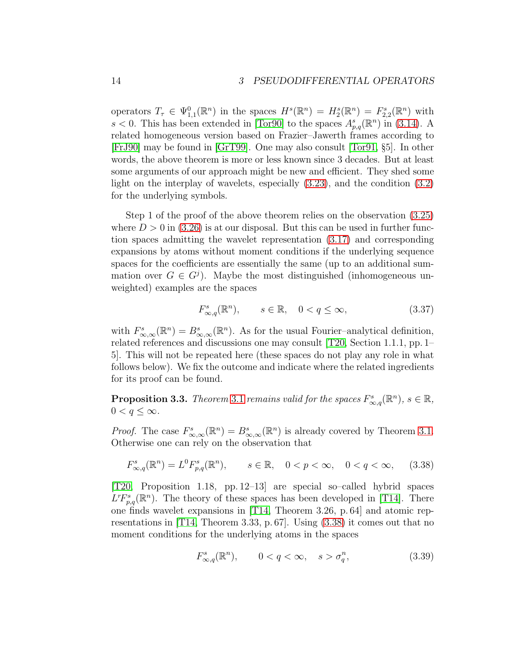operators  $T_{\tau} \in \Psi_{1,1}^{0}(\mathbb{R}^{n})$  in the spaces  $H^{s}(\mathbb{R}^{n}) = H_{2}^{s}(\mathbb{R}^{n}) = F_{2,2}^{s}(\mathbb{R}^{n})$  with  $s < 0$ . This has been extended in [\[Tor90\]](#page-22-10) to the spaces  $A_{p,q}^s(\mathbb{R}^n)$  in [\(3.14\)](#page-9-6). A related homogeneous version based on Frazier–Jawerth frames according to [\[FrJ90\]](#page-21-1) may be found in [\[GrT99\]](#page-21-3). One may also consult [\[Tor91,](#page-22-11) §5]. In other words, the above theorem is more or less known since 3 decades. But at least some arguments of our approach might be new and efficient. They shed some light on the interplay of wavelets, especially [\(3.23\)](#page-10-0), and the condition [\(3.2\)](#page-6-3) for the underlying symbols.

Step 1 of the proof of the above theorem relies on the observation [\(3.25\)](#page-10-5) where  $D > 0$  in [\(3.26\)](#page-10-4) is at our disposal. But this can be used in further function spaces admitting the wavelet representation [\(3.17\)](#page-9-5) and corresponding expansions by atoms without moment conditions if the underlying sequence spaces for the coefficients are essentially the same (up to an additional summation over  $G \in G^{j}$ ). Maybe the most distinguished (inhomogeneous unweighted) examples are the spaces

$$
F_{\infty,q}^s(\mathbb{R}^n), \qquad s \in \mathbb{R}, \quad 0 < q \le \infty,\tag{3.37}
$$

with  $F_{\infty,\infty}^s(\mathbb{R}^n) = B_{\infty,\infty}^s(\mathbb{R}^n)$ . As for the usual Fourier-analytical definition, related references and discussions one may consult [\[T20,](#page-23-2) Section 1.1.1, pp. 1– 5]. This will not be repeated here (these spaces do not play any role in what follows below). We fix the outcome and indicate where the related ingredients for its proof can be found.

<span id="page-13-0"></span>**Proposition 3.3.** Theorem [3.1](#page-9-0) remains valid for the spaces  $F_{\infty,q}^s(\mathbb{R}^n)$ ,  $s \in \mathbb{R}$ ,  $0 < q \leq \infty$ .

*Proof.* The case  $F_{\infty,\infty}^s(\mathbb{R}^n) = B_{\infty,\infty}^s(\mathbb{R}^n)$  is already covered by Theorem [3.1.](#page-9-0) Otherwise one can rely on the observation that

<span id="page-13-1"></span>
$$
F_{\infty,q}^{s}(\mathbb{R}^{n}) = L^{0}F_{p,q}^{s}(\mathbb{R}^{n}), \qquad s \in \mathbb{R}, \quad 0 < p < \infty, \quad 0 < q < \infty,\tag{3.38}
$$

[\[T20,](#page-23-2) Proposition 1.18, pp. 12–13] are special so–called hybrid spaces  $L^rF^s_{p,q}(\mathbb{R}^n)$ . The theory of these spaces has been developed in [\[T14\]](#page-23-4). There one finds wavelet expansions in [\[T14,](#page-23-4) Theorem 3.26, p. 64] and atomic representations in [\[T14,](#page-23-4) Theorem 3.33, p. 67]. Using [\(3.38\)](#page-13-1) it comes out that no moment conditions for the underlying atoms in the spaces

<span id="page-13-2"></span>
$$
F_{\infty,q}^s(\mathbb{R}^n), \qquad 0 < q < \infty, \quad s > \sigma_q^n,\tag{3.39}
$$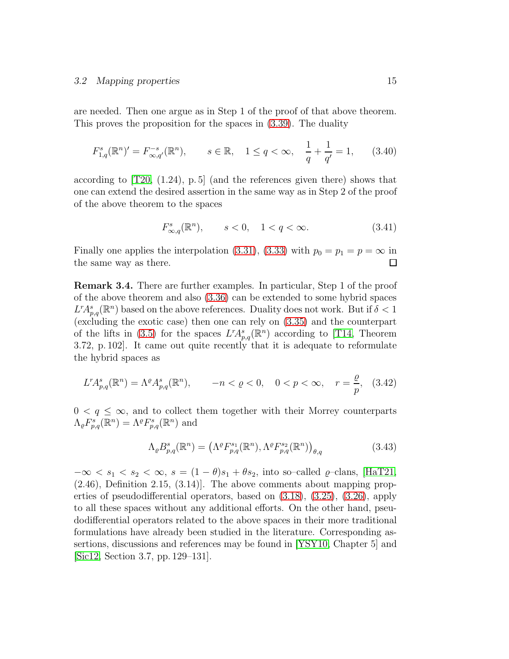#### 3.2 Mapping properties 15

are needed. Then one argue as in Step 1 of the proof of that above theorem. This proves the proposition for the spaces in [\(3.39\)](#page-13-2). The duality

$$
F_{1,q}^{s}(\mathbb{R}^{n})' = F_{\infty,q'}^{-s}(\mathbb{R}^{n}), \qquad s \in \mathbb{R}, \quad 1 \le q < \infty, \quad \frac{1}{q} + \frac{1}{q'} = 1,\tag{3.40}
$$

according to  $[T20, (1.24), p.5]$  (and the references given there) shows that one can extend the desired assertion in the same way as in Step 2 of the proof of the above theorem to the spaces

$$
F_{\infty,q}^{s}(\mathbb{R}^{n}), \qquad s < 0, \quad 1 < q < \infty.
$$
 (3.41)

Finally one applies the interpolation [\(3.31\)](#page-11-2), [\(3.33\)](#page-12-1) with  $p_0 = p_1 = p = \infty$  in the same way as there. the same way as there.

Remark 3.4. There are further examples. In particular, Step 1 of the proof of the above theorem and also [\(3.36\)](#page-12-2) can be extended to some hybrid spaces  $L^r A_{p,q}^s(\mathbb{R}^n)$  based on the above references. Duality does not work. But if  $\delta < 1$ (excluding the exotic case) then one can rely on [\(3.35\)](#page-12-3) and the counterpart of the lifts in [\(3.5\)](#page-7-2) for the spaces  $L^r A^s_{p,q}(\mathbb{R}^n)$  according to [\[T14,](#page-23-4) Theorem 3.72, p. 102]. It came out quite recently that it is adequate to reformulate the hybrid spaces as

$$
L^r A_{p,q}^s(\mathbb{R}^n) = \Lambda^\varrho A_{p,q}^s(\mathbb{R}^n), \qquad -n < \varrho < 0, \quad 0 < p < \infty, \quad r = \frac{\varrho}{p}, \tag{3.42}
$$

 $0 < q \leq \infty$ , and to collect them together with their Morrey counterparts  $\Lambda_{\varrho} F_{p,q}^{s}(\mathbb{R}^n) = \Lambda^{\varrho} F_{p,q}^{s}(\mathbb{R}^n)$  and

$$
\Lambda_{\varrho} B_{p,q}^{s}(\mathbb{R}^{n}) = \left( \Lambda^{\varrho} F_{p,q}^{s_1}(\mathbb{R}^{n}), \Lambda^{\varrho} F_{p,q}^{s_2}(\mathbb{R}^{n}) \right)_{\theta,q} \tag{3.43}
$$

 $-\infty < s_1 < s_2 < \infty$ ,  $s = (1 - \theta)s_1 + \theta s_2$ , into so-called  $\varrho$ -clans, [\[HaT21,](#page-21-4) (2.46), Definition 2.15, (3.14)]. The above comments about mapping properties of pseudodifferential operators, based on [\(3.18\)](#page-9-4), [\(3.25\)](#page-10-5), [\(3.26\)](#page-10-4), apply to all these spaces without any additional efforts. On the other hand, pseudodifferential operators related to the above spaces in their more traditional formulations have already been studied in the literature. Corresponding assertions, discussions and references may be found in [\[YSY10,](#page-23-5) Chapter 5] and [\[Sic12,](#page-22-12) Section 3.7, pp. 129–131].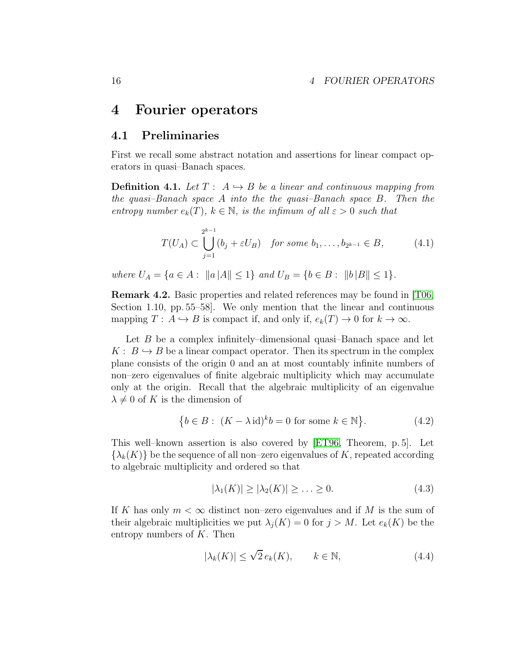## <span id="page-15-0"></span>4 Fourier operators

### 4.1 Preliminaries

First we recall some abstract notation and assertions for linear compact operators in quasi–Banach spaces.

**Definition 4.1.** Let  $T: A \rightarrow B$  be a linear and continuous mapping from the quasi–Banach space A into the the quasi–Banach space B. Then the entropy number  $e_k(T)$ ,  $k \in \mathbb{N}$ , is the infimum of all  $\varepsilon > 0$  such that

$$
T(U_A) \subset \bigcup_{j=1}^{2^{k-1}} (b_j + \varepsilon U_B) \quad \text{for some } b_1, \dots, b_{2^{k-1}} \in B,
$$
 (4.1)

where  $U_A = \{a \in A : ||a|| \leq 1\}$  and  $U_B = \{b \in B : ||b|| \leq 1\}.$ 

Remark 4.2. Basic properties and related references may be found in [\[T06,](#page-23-1) Section 1.10, pp. 55–58]. We only mention that the linear and continuous mapping  $T: A \hookrightarrow B$  is compact if, and only if,  $e_k(T) \to 0$  for  $k \to \infty$ .

Let B be a complex infinitely–dimensional quasi–Banach space and let  $K: B \hookrightarrow B$  be a linear compact operator. Then its spectrum in the complex plane consists of the origin 0 and an at most countably infinite numbers of non–zero eigenvalues of finite algebraic multiplicity which may accumulate only at the origin. Recall that the algebraic multiplicity of an eigenvalue  $\lambda \neq 0$  of K is the dimension of

<span id="page-15-1"></span>
$$
\{b \in B: (K - \lambda \operatorname{id})^k b = 0 \text{ for some } k \in \mathbb{N}\}.
$$
 (4.2)

This well–known assertion is also covered by [\[ET96,](#page-21-5) Theorem, p. 5]. Let  $\{\lambda_k(K)\}\$  be the sequence of all non–zero eigenvalues of K, repeated according to algebraic multiplicity and ordered so that

<span id="page-15-2"></span>
$$
|\lambda_1(K)| \ge |\lambda_2(K)| \ge \ldots \ge 0. \tag{4.3}
$$

If K has only  $m < \infty$  distinct non–zero eigenvalues and if M is the sum of their algebraic multiplicities we put  $\lambda_i(K) = 0$  for  $j > M$ . Let  $e_k(K)$  be the entropy numbers of  $K$ . Then

<span id="page-15-3"></span>
$$
|\lambda_k(K)| \le \sqrt{2} \, e_k(K), \qquad k \in \mathbb{N}, \tag{4.4}
$$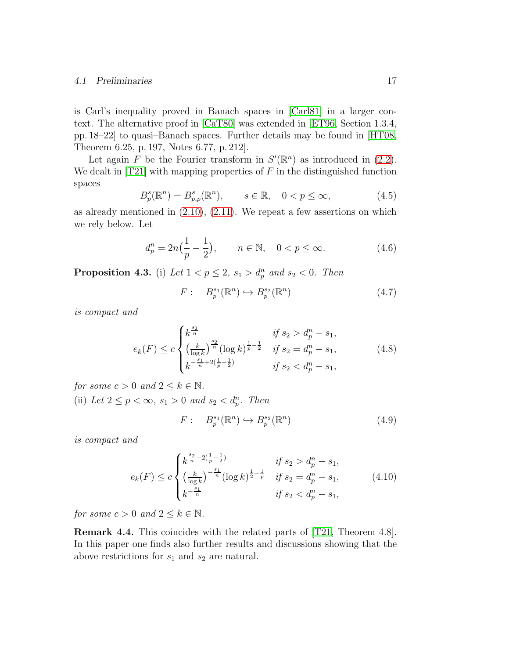#### 4.1 Preliminaries 17

is Carl's inequality proved in Banach spaces in [\[Carl81\]](#page-21-6) in a larger context. The alternative proof in [\[CaT80\]](#page-21-7) was extended in [\[ET96,](#page-21-5) Section 1.3.4, pp. 18–22] to quasi–Banach spaces. Further details may be found in [\[HT08,](#page-21-8) Theorem 6.25, p. 197, Notes 6.77, p. 212].

Let again F be the Fourier transform in  $S'(\mathbb{R}^n)$  as introduced in [\(2.2\)](#page-2-0). We dealt in [\[T21\]](#page-23-0) with mapping properties of  $F$  in the distinguished function spaces

$$
B_p^s(\mathbb{R}^n) = B_{p,p}^s(\mathbb{R}^n), \qquad s \in \mathbb{R}, \quad 0 < p \le \infty,\tag{4.5}
$$

as already mentioned in  $(2.10)$ ,  $(2.11)$ . We repeat a few assertions on which we rely below. Let

$$
d_p^n = 2n\left(\frac{1}{p} - \frac{1}{2}\right), \qquad n \in \mathbb{N}, \quad 0 < p \le \infty. \tag{4.6}
$$

<span id="page-16-0"></span>**Proposition 4.3.** (i) Let  $1 < p \leq 2$ ,  $s_1 > d_p^n$  and  $s_2 < 0$ . Then

$$
F: B_p^{s_1}(\mathbb{R}^n) \hookrightarrow B_p^{s_2}(\mathbb{R}^n) \tag{4.7}
$$

is compact and

<span id="page-16-1"></span>
$$
e_k(F) \le c \begin{cases} k^{\frac{s_2}{n}} & \text{if } s_2 > d_p^n - s_1, \\ \left(\frac{k}{\log k}\right)^{\frac{s_2}{n}} (\log k)^{\frac{1}{p} - \frac{1}{2}} & \text{if } s_2 = d_p^n - s_1, \\ k^{-\frac{s_1}{n} + 2(\frac{1}{p} - \frac{1}{2})} & \text{if } s_2 < d_p^n - s_1, \end{cases} \tag{4.8}
$$

for some  $c > 0$  and  $2 \leq k \in \mathbb{N}$ .

(ii) Let  $2 \leq p < \infty$ ,  $s_1 > 0$  and  $s_2 < d_p^n$ . Then

$$
F: B_p^{s_1}(\mathbb{R}^n) \hookrightarrow B_p^{s_2}(\mathbb{R}^n)
$$
\n
$$
(4.9)
$$

is compact and

<span id="page-16-2"></span>
$$
e_k(F) \le c \begin{cases} k^{\frac{s_2}{n} - 2(\frac{1}{p} - \frac{1}{2})} & \text{if } s_2 > d_p^n - s_1, \\ \left(\frac{k}{\log k}\right)^{-\frac{s_1}{n}} (\log k)^{\frac{1}{2} - \frac{1}{p}} & \text{if } s_2 = d_p^n - s_1, \\ k^{-\frac{s_1}{n}} & \text{if } s_2 < d_p^n - s_1, \end{cases} \tag{4.10}
$$

for some  $c > 0$  and  $2 \leq k \in \mathbb{N}$ .

Remark 4.4. This coincides with the related parts of [\[T21,](#page-23-0) Theorem 4.8]. In this paper one finds also further results and discussions showing that the above restrictions for  $s_1$  and  $s_2$  are natural.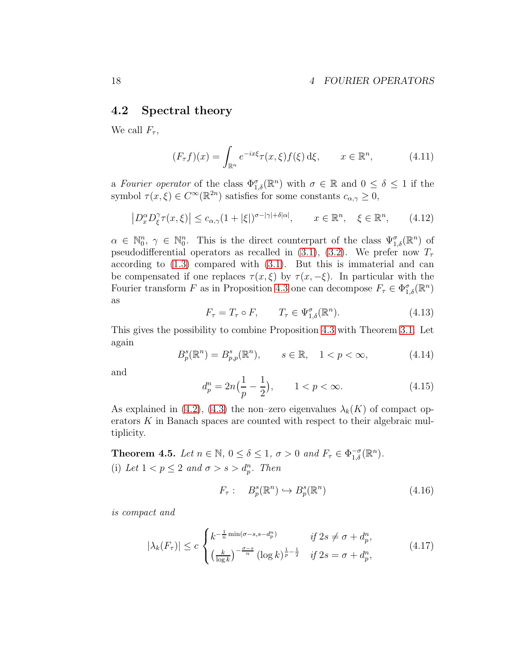### <span id="page-17-1"></span>4.2 Spectral theory

We call  $F_{\tau}$ ,

<span id="page-17-5"></span>
$$
(F_{\tau}f)(x) = \int_{\mathbb{R}^n} e^{-ix\xi} \tau(x,\xi) f(\xi) d\xi, \qquad x \in \mathbb{R}^n,
$$
 (4.11)

a Fourier operator of the class  $\Phi_{1,\delta}^{\sigma}(\mathbb{R}^n)$  with  $\sigma \in \mathbb{R}$  and  $0 \leq \delta \leq 1$  if the symbol  $\tau(x,\xi) \in C^{\infty}(\mathbb{R}^{2n})$  satisfies for some constants  $c_{\alpha,\gamma} \geq 0$ ,

<span id="page-17-6"></span>
$$
\left| D_x^{\alpha} D_{\xi}^{\gamma} \tau(x,\xi) \right| \le c_{\alpha,\gamma} (1+|\xi|)^{\sigma - |\gamma| + \delta |\alpha|}, \qquad x \in \mathbb{R}^n, \quad \xi \in \mathbb{R}^n, \tag{4.12}
$$

 $\alpha \in \mathbb{N}_0^n$ ,  $\gamma \in \mathbb{N}_0^n$ . This is the direct counterpart of the class  $\Psi_{1,\delta}^{\sigma}(\mathbb{R}^n)$  of pseudodifferential operators as recalled in [\(3.1\)](#page-6-4), [\(3.2\)](#page-6-3). We prefer now  $T<sub>\tau</sub>$ according to [\(1.3\)](#page-0-1) compared with [\(3.1\)](#page-6-4). But this is immaterial and can be compensated if one replaces  $\tau(x,\xi)$  by  $\tau(x,-\xi)$ . In particular with the Fourier transform F as in Proposition [4.3](#page-16-0) one can decompose  $F_{\tau} \in \Phi^{\sigma}_{1,\delta}(\mathbb{R}^n)$ as

<span id="page-17-2"></span>
$$
F_{\tau} = T_{\tau} \circ F, \qquad T_{\tau} \in \Psi_{1,\delta}^{\sigma}(\mathbb{R}^{n}). \tag{4.13}
$$

This gives the possibility to combine Proposition [4.3](#page-16-0) with Theorem [3.1.](#page-9-0) Let again

$$
B_p^s(\mathbb{R}^n) = B_{p,p}^s(\mathbb{R}^n), \qquad s \in \mathbb{R}, \quad 1 < p < \infty,\tag{4.14}
$$

and

<span id="page-17-7"></span>
$$
d_p^n = 2n\left(\frac{1}{p} - \frac{1}{2}\right), \qquad 1 < p < \infty. \tag{4.15}
$$

As explained in [\(4.2\)](#page-15-1), [\(4.3\)](#page-15-2) the non–zero eigenvalues  $\lambda_k(K)$  of compact operators  $K$  in Banach spaces are counted with respect to their algebraic multiplicity.

<span id="page-17-0"></span>**Theorem 4.5.** Let  $n \in \mathbb{N}$ ,  $0 \le \delta \le 1$ ,  $\sigma > 0$  and  $F_{\tau} \in \Phi_{1,\delta}^{-\sigma}(\mathbb{R}^n)$ . (i) Let  $1 < p \leq 2$  and  $\sigma > s > d_p^n$ . Then

<span id="page-17-3"></span>
$$
F_{\tau}: B_p^s(\mathbb{R}^n) \hookrightarrow B_p^s(\mathbb{R}^n) \tag{4.16}
$$

is compact and

<span id="page-17-4"></span>
$$
|\lambda_k(F_{\tau})| \le c \begin{cases} k^{-\frac{1}{n}\min(\sigma - s, s - d_p^n)} & \text{if } 2s \ne \sigma + d_p^n, \\ \left(\frac{k}{\log k}\right)^{-\frac{\sigma - s}{n}} (\log k)^{\frac{1}{p} - \frac{1}{2}} & \text{if } 2s = \sigma + d_p^n, \end{cases} (4.17)
$$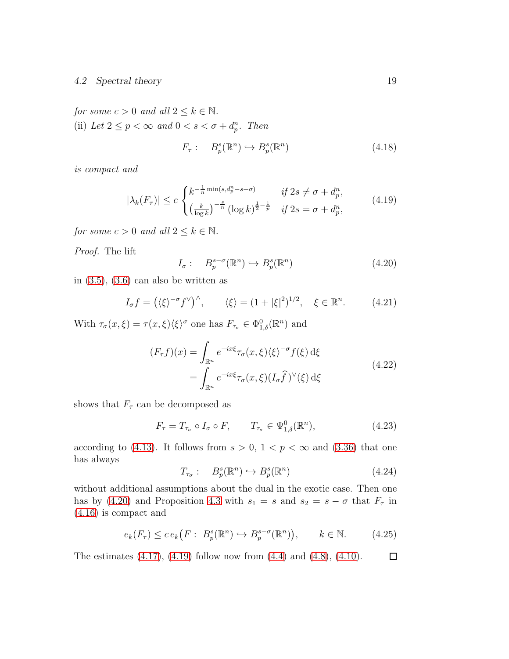#### 4.2 Spectral theory 19

for some  $c > 0$  and all  $2 \leq k \in \mathbb{N}$ . (ii) Let  $2 \le p < \infty$  and  $0 < s < \sigma + d_p^n$ . Then

$$
F_{\tau}: B_p^s(\mathbb{R}^n) \hookrightarrow B_p^s(\mathbb{R}^n) \tag{4.18}
$$

is compact and

<span id="page-18-1"></span>
$$
|\lambda_k(F_{\tau})| \le c \begin{cases} k^{-\frac{1}{n}\min(s,d_p^n - s + \sigma)} & \text{if } 2s \ne \sigma + d_p^n, \\ \left(\frac{k}{\log k}\right)^{-\frac{s}{n}} (\log k)^{\frac{1}{2} - \frac{1}{p}} & \text{if } 2s = \sigma + d_p^n, \end{cases}
$$
(4.19)

for some  $c > 0$  and all  $2 \leq k \in \mathbb{N}$ .

Proof. The lift

<span id="page-18-0"></span>
$$
I_{\sigma}: B_p^{s-\sigma}(\mathbb{R}^n) \hookrightarrow B_p^s(\mathbb{R}^n) \tag{4.20}
$$

in  $(3.5)$ ,  $(3.6)$  can also be written as

$$
I_{\sigma}f = (\langle \xi \rangle^{-\sigma} f^{\vee})^{\wedge}, \qquad \langle \xi \rangle = (1 + |\xi|^{2})^{1/2}, \quad \xi \in \mathbb{R}^{n}.
$$
 (4.21)

With  $\tau_{\sigma}(x,\xi) = \tau(x,\xi)\langle \xi \rangle^{\sigma}$  one has  $F_{\tau_{\sigma}} \in \Phi^0_{1,\delta}(\mathbb{R}^n)$  and

$$
(F_{\tau}f)(x) = \int_{\mathbb{R}^n} e^{-ix\xi} \tau_{\sigma}(x,\xi) \langle \xi \rangle^{-\sigma} f(\xi) d\xi
$$
  
= 
$$
\int_{\mathbb{R}^n} e^{-ix\xi} \tau_{\sigma}(x,\xi) (I_{\sigma}\hat{f})^{\vee}(\xi) d\xi
$$
(4.22)

shows that  $F_{\tau}$  can be decomposed as

<span id="page-18-2"></span>
$$
F_{\tau} = T_{\tau_{\sigma}} \circ I_{\sigma} \circ F, \qquad T_{\tau_{\sigma}} \in \Psi_{1,\delta}^{0}(\mathbb{R}^{n}), \tag{4.23}
$$

according to [\(4.13\)](#page-17-2). It follows from  $s > 0$ ,  $1 < p < \infty$  and [\(3.36\)](#page-12-2) that one has always

$$
T_{\tau_{\sigma}}: B_p^s(\mathbb{R}^n) \hookrightarrow B_p^s(\mathbb{R}^n) \tag{4.24}
$$

without additional assumptions about the dual in the exotic case. Then one has by [\(4.20\)](#page-18-0) and Proposition [4.3](#page-16-0) with  $s_1 = s$  and  $s_2 = s - \sigma$  that  $F_\tau$  in [\(4.16\)](#page-17-3) is compact and

$$
e_k(F_\tau) \le c \, e_k\big(F : B_p^s(\mathbb{R}^n) \hookrightarrow B_p^{s-\sigma}(\mathbb{R}^n)\big), \qquad k \in \mathbb{N}.\tag{4.25}
$$

The estimates  $(4.17)$ ,  $(4.19)$  follow now from  $(4.4)$  and  $(4.8)$ ,  $(4.10)$ .  $\Box$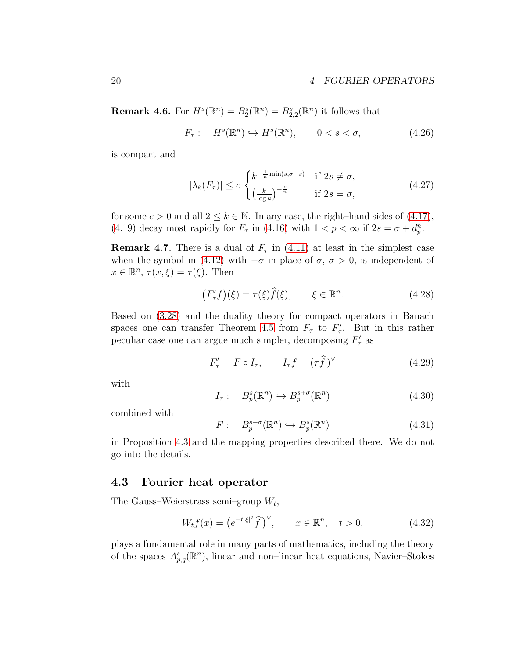#### 20 4 FOURIER OPERATORS

**Remark 4.6.** For  $H^s(\mathbb{R}^n) = B_2^s(\mathbb{R}^n) = B_{2,2}^s(\mathbb{R}^n)$  it follows that

$$
F_{\tau}: \quad H^s(\mathbb{R}^n) \hookrightarrow H^s(\mathbb{R}^n), \qquad 0 < s < \sigma,\tag{4.26}
$$

is compact and

$$
|\lambda_k(F_\tau)| \le c \begin{cases} k^{-\frac{1}{n}\min(s,\sigma-s)} & \text{if } 2s \ne \sigma, \\ \left(\frac{k}{\log k}\right)^{-\frac{s}{n}} & \text{if } 2s = \sigma, \end{cases}
$$
(4.27)

for some  $c > 0$  and all  $2 \leq k \in \mathbb{N}$ . In any case, the right–hand sides of [\(4.17\)](#page-17-4), [\(4.19\)](#page-18-1) decay most rapidly for  $F_{\tau}$  in [\(4.16\)](#page-17-3) with  $1 < p < \infty$  if  $2s = \sigma + d_p^n$ .

**Remark 4.7.** There is a dual of  $F_{\tau}$  in [\(4.11\)](#page-17-5) at least in the simplest case when the symbol in [\(4.12\)](#page-17-6) with  $-\sigma$  in place of  $\sigma$ ,  $\sigma > 0$ , is independent of  $x \in \mathbb{R}^n$ ,  $\tau(x,\xi) = \tau(\xi)$ . Then

$$
\left(F'_{\tau}f\right)(\xi) = \tau(\xi)\widehat{f}(\xi), \qquad \xi \in \mathbb{R}^n. \tag{4.28}
$$

Based on [\(3.28\)](#page-11-1) and the duality theory for compact operators in Banach spaces one can transfer Theorem [4.5](#page-17-0) from  $F_{\tau}$  to  $F'_{\tau}$ . But in this rather peculiar case one can argue much simpler, decomposing  $F'_{\tau}$  as

$$
F'_{\tau} = F \circ I_{\tau}, \qquad I_{\tau} f = (\tau \hat{f})^{\vee} \tag{4.29}
$$

with

$$
I_{\tau}: B_p^s(\mathbb{R}^n) \hookrightarrow B_p^{s+\sigma}(\mathbb{R}^n)
$$
\n(4.30)

combined with

$$
F: \quad B_p^{s+\sigma}(\mathbb{R}^n) \hookrightarrow B_p^s(\mathbb{R}^n) \tag{4.31}
$$

in Proposition [4.3](#page-16-0) and the mapping properties described there. We do not go into the details.

### <span id="page-19-0"></span>4.3 Fourier heat operator

The Gauss–Weierstrass semi–group  $W_t$ ,

<span id="page-19-1"></span>
$$
W_t f(x) = \left(e^{-t|\xi|^2} \hat{f}\right)^{\vee}, \qquad x \in \mathbb{R}^n, \quad t > 0,
$$
\n
$$
(4.32)
$$

plays a fundamental role in many parts of mathematics, including the theory of the spaces  $A_{p,q}^s(\mathbb{R}^n)$ , linear and non-linear heat equations, Navier-Stokes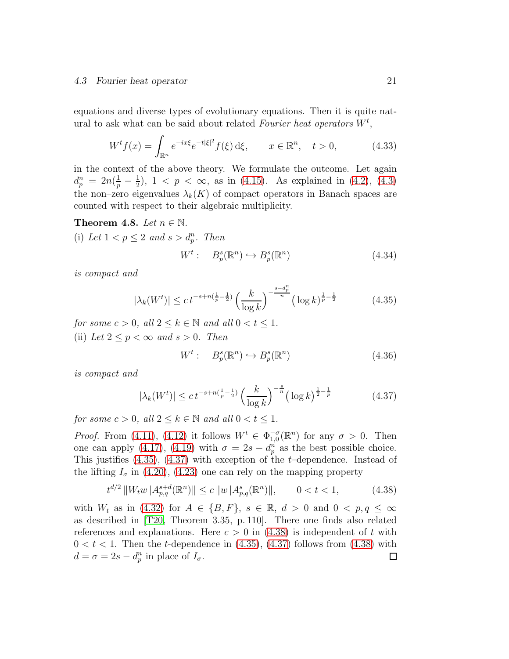#### 4.3 Fourier heat operator 21

equations and diverse types of evolutionary equations. Then it is quite natural to ask what can be said about related Fourier heat operators  $W^t$ ,

$$
W^{t} f(x) = \int_{\mathbb{R}^{n}} e^{-ix\xi} e^{-t|\xi|^{2}} f(\xi) d\xi, \qquad x \in \mathbb{R}^{n}, \quad t > 0,
$$
 (4.33)

in the context of the above theory. We formulate the outcome. Let again  $d_p^n = 2n(\frac{1}{p} - \frac{1}{2})$  $(\frac{1}{2})$ ,  $1 < p < \infty$ , as in [\(4.15\)](#page-17-7). As explained in [\(4.2\)](#page-15-1), [\(4.3\)](#page-15-2) the non–zero eigenvalues  $\lambda_k(K)$  of compact operators in Banach spaces are counted with respect to their algebraic multiplicity.

#### Theorem 4.8. Let  $n \in \mathbb{N}$ .

(i) Let  $1 < p \leq 2$  and  $s > d_p^n$ . Then

$$
W^t: B_p^s(\mathbb{R}^n) \hookrightarrow B_p^s(\mathbb{R}^n) \tag{4.34}
$$

is compact and

<span id="page-20-0"></span>
$$
|\lambda_k(W^t)| \le c \, t^{-s + n(\frac{1}{p} - \frac{1}{2})} \left(\frac{k}{\log k}\right)^{-\frac{s - d_p^n}{n}} \left(\log k\right)^{\frac{1}{p} - \frac{1}{2}} \tag{4.35}
$$

for some  $c > 0$ , all  $2 \leq k \in \mathbb{N}$  and all  $0 < t \leq 1$ . (ii) Let  $2 \le p \le \infty$  and  $s > 0$ . Then

$$
W^t: B_p^s(\mathbb{R}^n) \hookrightarrow B_p^s(\mathbb{R}^n) \tag{4.36}
$$

is compact and

<span id="page-20-1"></span>
$$
|\lambda_k(W^t)| \le c \, t^{-s + n(\frac{1}{p} - \frac{1}{2})} \left(\frac{k}{\log k}\right)^{-\frac{s}{n}} \left(\log k\right)^{\frac{1}{2} - \frac{1}{p}} \tag{4.37}
$$

for some  $c > 0$ , all  $2 \leq k \in \mathbb{N}$  and all  $0 < t < 1$ .

*Proof.* From [\(4.11\)](#page-17-5), [\(4.12\)](#page-17-6) it follows  $W^t \in \Phi_{1,0}^{-\sigma}(\mathbb{R}^n)$  for any  $\sigma > 0$ . Then one can apply [\(4.17\)](#page-17-4), [\(4.19\)](#page-18-1) with  $\sigma = 2s - d_p^n$  as the best possible choice. This justifies  $(4.35)$ ,  $(4.37)$  with exception of the *t*-dependence. Instead of the lifting  $I_{\sigma}$  in [\(4.20\)](#page-18-0), [\(4.23\)](#page-18-2) one can rely on the mapping property

<span id="page-20-2"></span>
$$
t^{d/2} \|W_t w\| A_{p,q}^{s+d}(\mathbb{R}^n) \| \le c \|w\| A_{p,q}^s(\mathbb{R}^n) \|, \qquad 0 < t < 1,\tag{4.38}
$$

with  $W_t$  as in [\(4.32\)](#page-19-1) for  $A \in \{B, F\}$ ,  $s \in \mathbb{R}$ ,  $d > 0$  and  $0 < p, q \le \infty$ as described in [\[T20,](#page-23-2) Theorem 3.35, p. 110]. There one finds also related references and explanations. Here  $c > 0$  in [\(4.38\)](#page-20-2) is independent of t with  $0 < t < 1$ . Then the *t*-dependence in  $(4.35)$ ,  $(4.37)$  follows from  $(4.38)$  with  $d = \sigma = 2s - d_p^n$  in place of  $I_{\sigma}$ .  $\Box$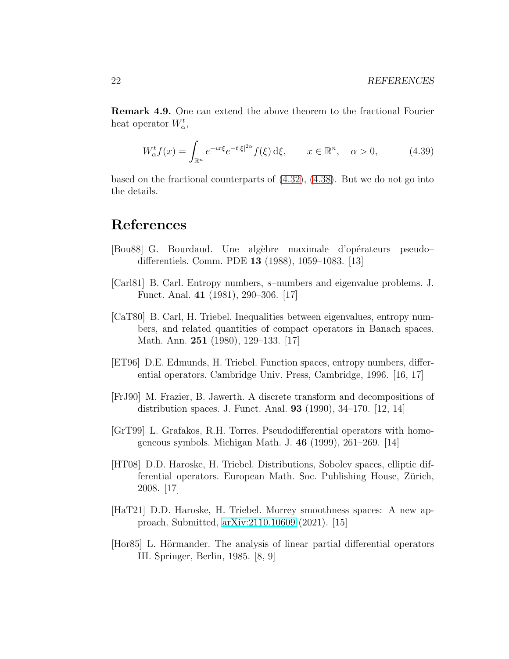Remark 4.9. One can extend the above theorem to the fractional Fourier heat operator  $W^t_{\alpha}$ ,

$$
W_{\alpha}^t f(x) = \int_{\mathbb{R}^n} e^{-ix\xi} e^{-t|\xi|^{2\alpha}} f(\xi) d\xi, \qquad x \in \mathbb{R}^n, \quad \alpha > 0,
$$
 (4.39)

based on the fractional counterparts of  $(4.32)$ ,  $(4.38)$ . But we do not go into the details.

# References

- <span id="page-21-2"></span>[Bou88] G. Bourdaud. Une alg`ebre maximale d'op´erateurs pseudo– differentiels. Comm. PDE 13 (1988), 1059–1083. [13]
- <span id="page-21-6"></span>[Carl81] B. Carl. Entropy numbers, s–numbers and eigenvalue problems. J. Funct. Anal. 41 (1981), 290–306. [17]
- <span id="page-21-7"></span>[CaT80] B. Carl, H. Triebel. Inequalities between eigenvalues, entropy numbers, and related quantities of compact operators in Banach spaces. Math. Ann. 251 (1980), 129–133. [17]
- <span id="page-21-5"></span>[ET96] D.E. Edmunds, H. Triebel. Function spaces, entropy numbers, differential operators. Cambridge Univ. Press, Cambridge, 1996. [16, 17]
- <span id="page-21-1"></span>[FrJ90] M. Frazier, B. Jawerth. A discrete transform and decompositions of distribution spaces. J. Funct. Anal. 93 (1990), 34–170. [12, 14]
- <span id="page-21-3"></span>[GrT99] L. Grafakos, R.H. Torres. Pseudodifferential operators with homogeneous symbols. Michigan Math. J. 46 (1999), 261–269. [14]
- <span id="page-21-8"></span>[HT08] D.D. Haroske, H. Triebel. Distributions, Sobolev spaces, elliptic differential operators. European Math. Soc. Publishing House, Zürich, 2008. [17]
- <span id="page-21-4"></span>[HaT21] D.D. Haroske, H. Triebel. Morrey smoothness spaces: A new approach. Submitted, [arXiv:2110.10609](http://arxiv.org/abs/2110.10609) (2021). [15]
- <span id="page-21-0"></span>[Hor85] L. Hörmander. The analysis of linear partial differential operators III. Springer, Berlin, 1985. [8, 9]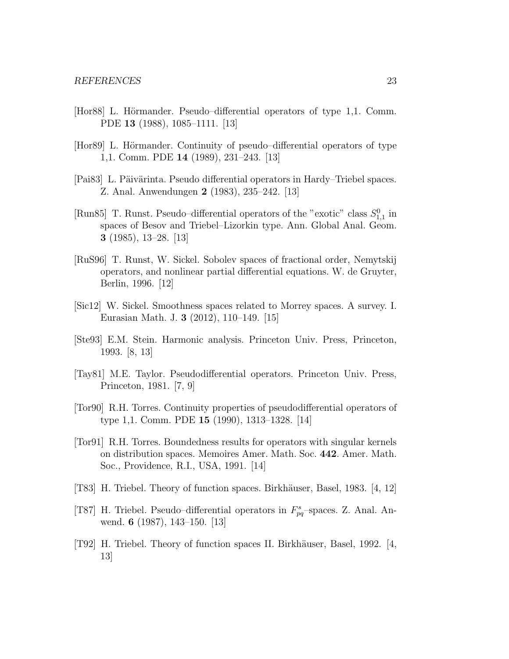- <span id="page-22-8"></span>[Hor88] L. Hörmander. Pseudo–differential operators of type 1,1. Comm. PDE 13 (1988), 1085–1111. [13]
- <span id="page-22-9"></span>[Hor89] L. Hörmander. Continuity of pseudo–differential operators of type 1,1. Comm. PDE 14 (1989), 231–243. [13]
- <span id="page-22-5"></span>[Pai83] L. Päivärinta. Pseudo differential operators in Hardy–Triebel spaces. Z. Anal. Anwendungen 2 (1983), 235–242. [13]
- <span id="page-22-7"></span>[Run85] T. Runst. Pseudo–differential operators of the "exotic" class  $S_{1,1}^0$  in spaces of Besov and Triebel–Lizorkin type. Ann. Global Anal. Geom. 3 (1985), 13–28. [13]
- <span id="page-22-4"></span>[RuS96] T. Runst, W. Sickel. Sobolev spaces of fractional order, Nemytskij operators, and nonlinear partial differential equations. W. de Gruyter, Berlin, 1996. [12]
- <span id="page-22-12"></span>[Sic12] W. Sickel. Smoothness spaces related to Morrey spaces. A survey. I. Eurasian Math. J. 3 (2012), 110–149. [15]
- <span id="page-22-3"></span>[Ste93] E.M. Stein. Harmonic analysis. Princeton Univ. Press, Princeton, 1993. [8, 13]
- <span id="page-22-2"></span>[Tay81] M.E. Taylor. Pseudodifferential operators. Princeton Univ. Press, Princeton, 1981. [7, 9]
- <span id="page-22-10"></span>[Tor90] R.H. Torres. Continuity properties of pseudodifferential operators of type 1,1. Comm. PDE 15 (1990), 1313–1328. [14]
- <span id="page-22-11"></span>[Tor91] R.H. Torres. Boundedness results for operators with singular kernels on distribution spaces. Memoires Amer. Math. Soc. 442. Amer. Math. Soc., Providence, R.I., USA, 1991. [14]
- <span id="page-22-0"></span>[T83] H. Triebel. Theory of function spaces. Birkh¨auser, Basel, 1983. [4, 12]
- <span id="page-22-6"></span>[T87] H. Triebel. Pseudo–differential operators in  $F_{pq}^s$ -spaces. Z. Anal. Anwend. 6 (1987), 143–150. [13]
- <span id="page-22-1"></span>[T92] H. Triebel. Theory of function spaces II. Birkh¨auser, Basel, 1992. [4, 13]